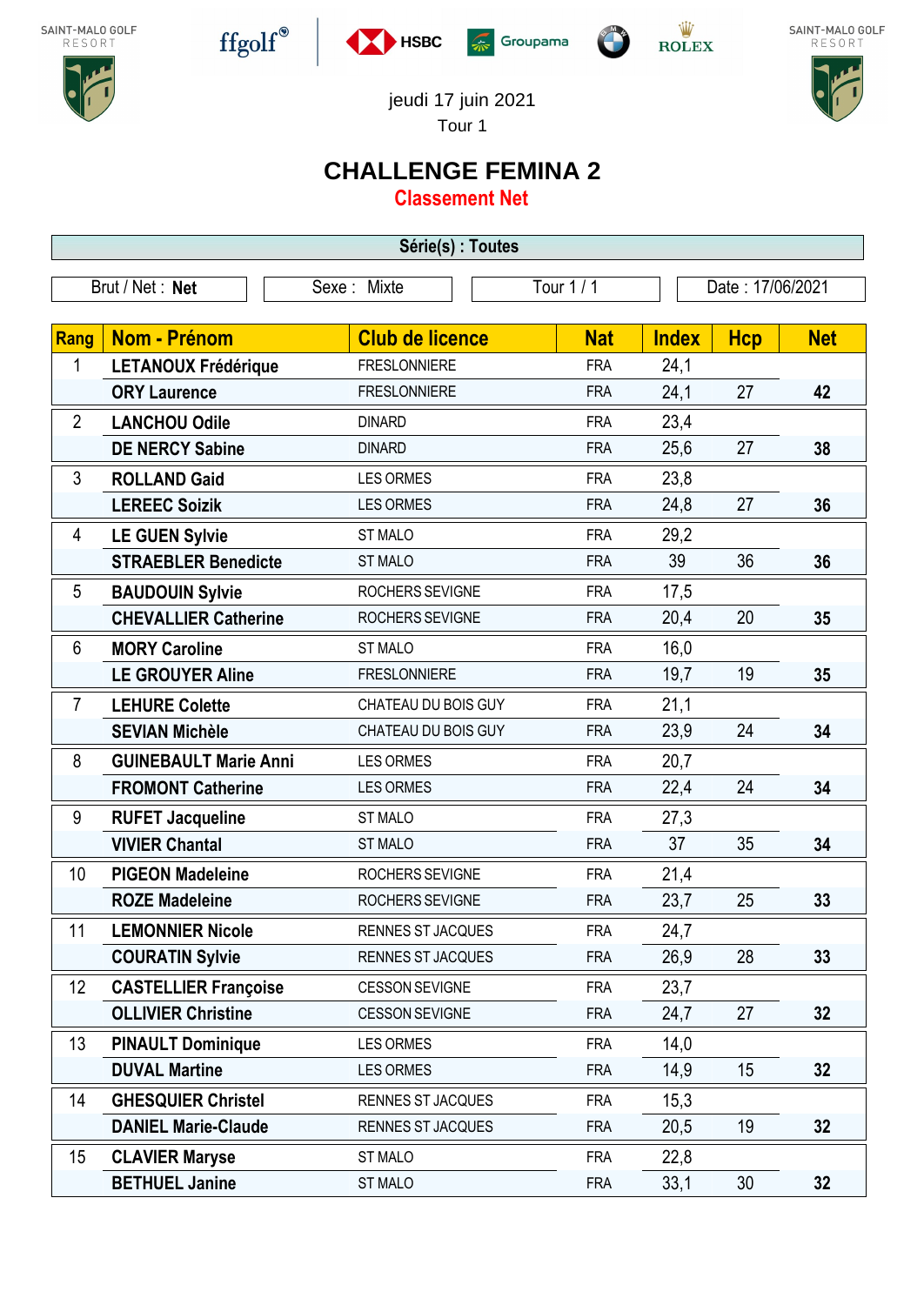









jeudi 17 juin 2021

Tour 1

## **CHALLENGE FEMINA 2**

**Classement Net**

| Série(s) : Toutes |                              |                          |            |                  |            |            |  |
|-------------------|------------------------------|--------------------------|------------|------------------|------------|------------|--|
|                   | Brut / Net: Net              | Sexe: Mixte              | Tour 1 / 1 | Date: 17/06/2021 |            |            |  |
|                   |                              |                          |            |                  |            |            |  |
| Rang              | Nom - Prénom                 | <b>Club de licence</b>   | <b>Nat</b> | <b>Index</b>     | <b>Hcp</b> | <b>Net</b> |  |
| 1                 | <b>LETANOUX Frédérique</b>   | <b>FRESLONNIERE</b>      | <b>FRA</b> | 24,1             |            |            |  |
|                   | <b>ORY Laurence</b>          | <b>FRESLONNIERE</b>      | <b>FRA</b> | 24,1             | 27         | 42         |  |
| $\overline{2}$    | <b>LANCHOU Odile</b>         | <b>DINARD</b>            | <b>FRA</b> | 23,4             |            |            |  |
|                   | <b>DE NERCY Sabine</b>       | <b>DINARD</b>            | <b>FRA</b> | 25,6             | 27         | 38         |  |
| 3                 | <b>ROLLAND Gaid</b>          | <b>LES ORMES</b>         | <b>FRA</b> | 23,8             |            |            |  |
|                   | <b>LEREEC Soizik</b>         | <b>LES ORMES</b>         | <b>FRA</b> | 24,8             | 27         | 36         |  |
| 4                 | <b>LE GUEN Sylvie</b>        | <b>ST MALO</b>           | <b>FRA</b> | 29,2             |            |            |  |
|                   | <b>STRAEBLER Benedicte</b>   | <b>ST MALO</b>           | <b>FRA</b> | 39               | 36         | 36         |  |
| 5                 | <b>BAUDOUIN Sylvie</b>       | ROCHERS SEVIGNE          | <b>FRA</b> | 17,5             |            |            |  |
|                   | <b>CHEVALLIER Catherine</b>  | ROCHERS SEVIGNE          | <b>FRA</b> | 20,4             | 20         | 35         |  |
| 6                 | <b>MORY Caroline</b>         | <b>ST MALO</b>           | <b>FRA</b> | 16,0             |            |            |  |
|                   | <b>LE GROUYER Aline</b>      | <b>FRESLONNIERE</b>      | <b>FRA</b> | 19,7             | 19         | 35         |  |
| $\overline{7}$    | <b>LEHURE Colette</b>        | CHATEAU DU BOIS GUY      | <b>FRA</b> | 21,1             |            |            |  |
|                   | <b>SEVIAN Michèle</b>        | CHATEAU DU BOIS GUY      | <b>FRA</b> | 23,9             | 24         | 34         |  |
| 8                 | <b>GUINEBAULT Marie Anni</b> | <b>LES ORMES</b>         | <b>FRA</b> | 20,7             |            |            |  |
|                   | <b>FROMONT Catherine</b>     | <b>LES ORMES</b>         | <b>FRA</b> | 22,4             | 24         | 34         |  |
| 9                 | <b>RUFET Jacqueline</b>      | ST MALO                  | <b>FRA</b> | 27,3             |            |            |  |
|                   | <b>VIVIER Chantal</b>        | <b>ST MALO</b>           | <b>FRA</b> | 37               | 35         | 34         |  |
| 10                | <b>PIGEON Madeleine</b>      | ROCHERS SEVIGNE          | <b>FRA</b> | 21,4             |            |            |  |
|                   | <b>ROZE Madeleine</b>        | ROCHERS SEVIGNE          | <b>FRA</b> | 23,7             | 25         | 33         |  |
| 11                | <b>LEMONNIER Nicole</b>      | RENNES ST JACQUES        | <b>FRA</b> | 24,7             |            |            |  |
|                   | <b>COURATIN Sylvie</b>       | RENNES ST JACQUES        | <b>FRA</b> | 26,9             | 28         | 33         |  |
| 12                | <b>CASTELLIER Françoise</b>  | <b>CESSON SEVIGNE</b>    | <b>FRA</b> | 23,7             |            |            |  |
|                   | <b>OLLIVIER Christine</b>    | <b>CESSON SEVIGNE</b>    | <b>FRA</b> | 24,7             | 27         | 32         |  |
| 13                | <b>PINAULT Dominique</b>     | <b>LES ORMES</b>         | <b>FRA</b> | 14,0             |            |            |  |
|                   | <b>DUVAL Martine</b>         | <b>LES ORMES</b>         | <b>FRA</b> | 14,9             | 15         | 32         |  |
| 14                | <b>GHESQUIER Christel</b>    | RENNES ST JACQUES        | <b>FRA</b> | 15,3             |            |            |  |
|                   | <b>DANIEL Marie-Claude</b>   | <b>RENNES ST JACQUES</b> | <b>FRA</b> | 20,5             | 19         | 32         |  |
| 15                | <b>CLAVIER Maryse</b>        | ST MALO                  | <b>FRA</b> | 22,8             |            |            |  |
|                   | <b>BETHUEL Janine</b>        | <b>ST MALO</b>           | <b>FRA</b> | 33,1             | 30         | 32         |  |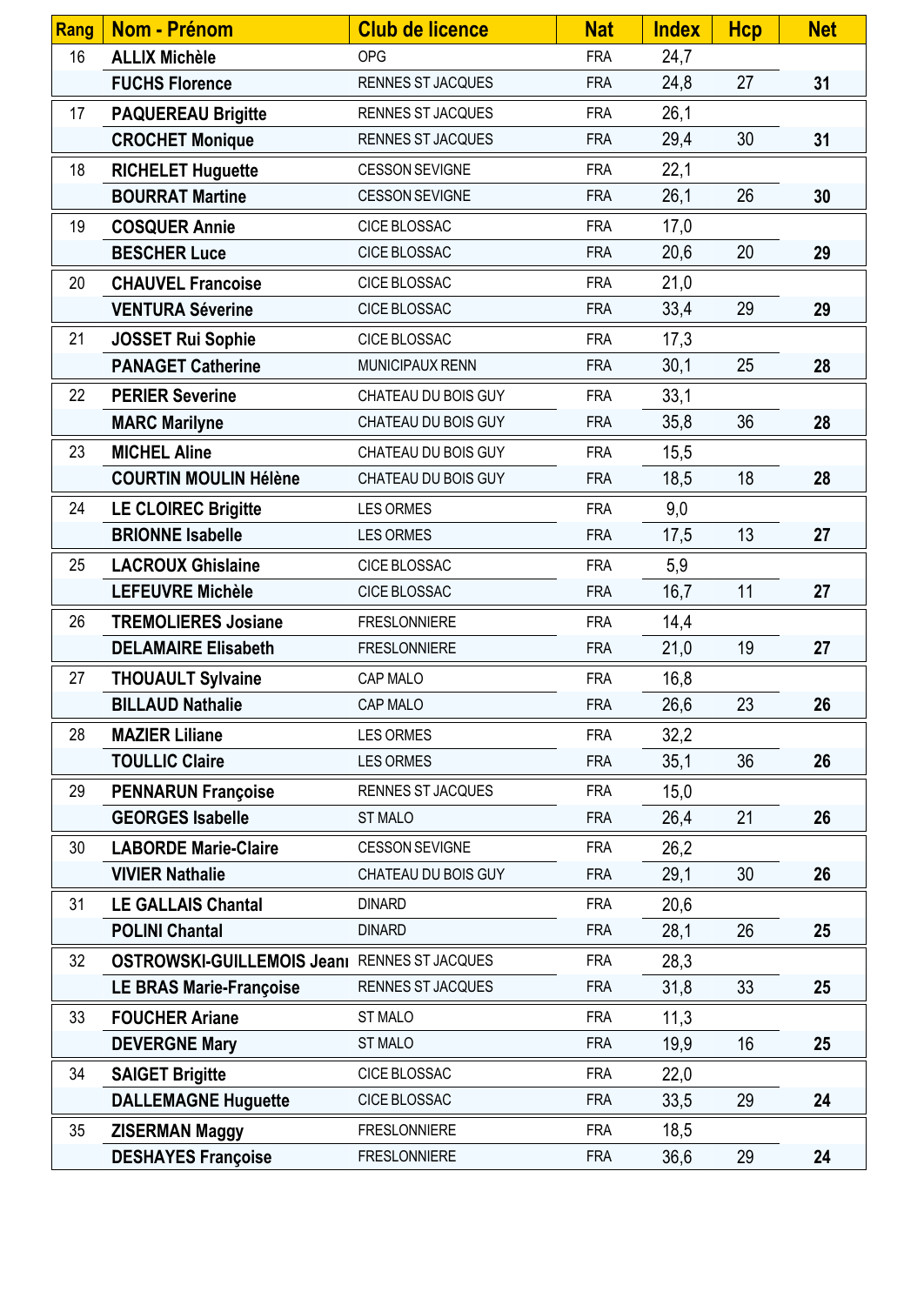| Rang | Nom - Prénom                                       | <b>Club de licence</b>   | <b>Nat</b> | <b>Index</b> | <b>Hcp</b> | <b>Net</b> |
|------|----------------------------------------------------|--------------------------|------------|--------------|------------|------------|
| 16   | <b>ALLIX Michèle</b>                               | <b>OPG</b>               | <b>FRA</b> | 24,7         |            |            |
|      | <b>FUCHS Florence</b>                              | RENNES ST JACQUES        | <b>FRA</b> | 24,8         | 27         | 31         |
| 17   | <b>PAQUEREAU Brigitte</b>                          | <b>RENNES ST JACQUES</b> | <b>FRA</b> | 26,1         |            |            |
|      | <b>CROCHET Monique</b>                             | RENNES ST JACQUES        | <b>FRA</b> | 29,4         | 30         | 31         |
| 18   | <b>RICHELET Huguette</b>                           | <b>CESSON SEVIGNE</b>    | <b>FRA</b> | 22,1         |            |            |
|      | <b>BOURRAT Martine</b>                             | <b>CESSON SEVIGNE</b>    | <b>FRA</b> | 26,1         | 26         | 30         |
| 19   | <b>COSQUER Annie</b>                               | <b>CICE BLOSSAC</b>      | <b>FRA</b> | 17,0         |            |            |
|      | <b>BESCHER Luce</b>                                | CICE BLOSSAC             | <b>FRA</b> | 20,6         | 20         | 29         |
| 20   | <b>CHAUVEL Francoise</b>                           | CICE BLOSSAC             | <b>FRA</b> | 21,0         |            |            |
|      | <b>VENTURA Séverine</b>                            | CICE BLOSSAC             | <b>FRA</b> | 33,4         | 29         | 29         |
| 21   | <b>JOSSET Rui Sophie</b>                           | CICE BLOSSAC             | <b>FRA</b> | 17,3         |            |            |
|      | <b>PANAGET Catherine</b>                           | MUNICIPAUX RENN          | <b>FRA</b> | 30,1         | 25         | 28         |
| 22   | <b>PERIER Severine</b>                             | CHATEAU DU BOIS GUY      | <b>FRA</b> | 33,1         |            |            |
|      | <b>MARC Marilyne</b>                               | CHATEAU DU BOIS GUY      | <b>FRA</b> | 35,8         | 36         | 28         |
| 23   | <b>MICHEL Aline</b>                                | CHATEAU DU BOIS GUY      | <b>FRA</b> | 15,5         |            |            |
|      | <b>COURTIN MOULIN Hélène</b>                       | CHATEAU DU BOIS GUY      | <b>FRA</b> | 18,5         | 18         | 28         |
| 24   | <b>LE CLOIREC Brigitte</b>                         | <b>LES ORMES</b>         | <b>FRA</b> | 9,0          |            |            |
|      | <b>BRIONNE Isabelle</b>                            | LES ORMES                | <b>FRA</b> | 17,5         | 13         | 27         |
| 25   | <b>LACROUX Ghislaine</b>                           | <b>CICE BLOSSAC</b>      | <b>FRA</b> | 5,9          |            |            |
|      | <b>LEFEUVRE Michèle</b>                            | CICE BLOSSAC             | <b>FRA</b> | 16,7         | 11         | 27         |
| 26   | <b>TREMOLIERES Josiane</b>                         | <b>FRESLONNIERE</b>      | <b>FRA</b> | 14,4         |            |            |
|      | <b>DELAMAIRE Elisabeth</b>                         | <b>FRESLONNIERE</b>      | <b>FRA</b> | 21,0         | 19         | 27         |
| 27   | <b>THOUAULT Sylvaine</b>                           | CAP MALO                 | <b>FRA</b> | 16,8         |            |            |
|      | <b>BILLAUD Nathalie</b>                            | CAP MALO                 | <b>FRA</b> | 26,6         | 23         | 26         |
| 28   | <b>MAZIER Liliane</b>                              | <b>LES ORMES</b>         | <b>FRA</b> | 32,2         |            |            |
|      | <b>TOULLIC Claire</b>                              | <b>LES ORMES</b>         | <b>FRA</b> | 35,1         | 36         | 26         |
| 29   | <b>PENNARUN Françoise</b>                          | <b>RENNES ST JACQUES</b> | <b>FRA</b> | 15,0         |            |            |
|      | <b>GEORGES Isabelle</b>                            | <b>ST MALO</b>           | <b>FRA</b> | 26,4         | 21         | 26         |
| 30   | <b>LABORDE Marie-Claire</b>                        | <b>CESSON SEVIGNE</b>    | <b>FRA</b> | 26,2         |            |            |
|      | <b>VIVIER Nathalie</b>                             | CHATEAU DU BOIS GUY      | <b>FRA</b> | 29,1         | 30         | 26         |
| 31   | <b>LE GALLAIS Chantal</b>                          | <b>DINARD</b>            | <b>FRA</b> | 20,6         |            |            |
|      | <b>POLINI Chantal</b>                              | <b>DINARD</b>            | <b>FRA</b> | 28,1         | 26         | 25         |
| 32   | <b>OSTROWSKI-GUILLEMOIS Jean</b> RENNES ST JACQUES |                          | <b>FRA</b> | 28,3         |            |            |
|      | <b>LE BRAS Marie-Françoise</b>                     | RENNES ST JACQUES        | <b>FRA</b> | 31,8         | 33         | 25         |
| 33   | <b>FOUCHER Ariane</b>                              | ST MALO                  | <b>FRA</b> | 11,3         |            |            |
|      | <b>DEVERGNE Mary</b>                               | <b>ST MALO</b>           | <b>FRA</b> | 19,9         | 16         | 25         |
| 34   | <b>SAIGET Brigitte</b>                             | CICE BLOSSAC             | <b>FRA</b> | 22,0         |            |            |
|      | <b>DALLEMAGNE Huguette</b>                         | <b>CICE BLOSSAC</b>      | <b>FRA</b> | 33,5         | 29         | 24         |
| 35   | <b>ZISERMAN Maggy</b>                              | <b>FRESLONNIERE</b>      | <b>FRA</b> | 18,5         |            |            |
|      | <b>DESHAYES Françoise</b>                          | <b>FRESLONNIERE</b>      | <b>FRA</b> | 36,6         | 29         | 24         |